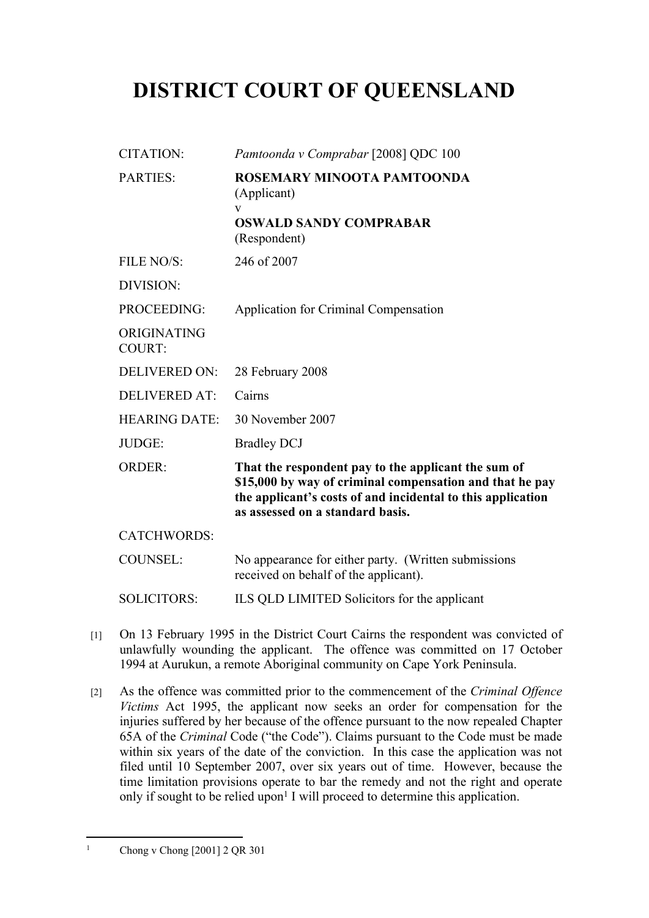## **DISTRICT COURT OF QUEENSLAND**

| <b>CITATION:</b>             | Pamtoonda v Comprabar [2008] QDC 100                                                                                                                                                                               |
|------------------------------|--------------------------------------------------------------------------------------------------------------------------------------------------------------------------------------------------------------------|
| <b>PARTIES:</b>              | ROSEMARY MINOOTA PAMTOONDA<br>(Applicant)<br>V<br><b>OSWALD SANDY COMPRABAR</b><br>(Respondent)                                                                                                                    |
| FILE NO/S:                   | 246 of 2007                                                                                                                                                                                                        |
| DIVISION:                    |                                                                                                                                                                                                                    |
| PROCEEDING:                  | Application for Criminal Compensation                                                                                                                                                                              |
| ORIGINATING<br><b>COURT:</b> |                                                                                                                                                                                                                    |
| <b>DELIVERED ON:</b>         | 28 February 2008                                                                                                                                                                                                   |
| <b>DELIVERED AT:</b>         | Cairns                                                                                                                                                                                                             |
| <b>HEARING DATE:</b>         | 30 November 2007                                                                                                                                                                                                   |
| JUDGE:                       | <b>Bradley DCJ</b>                                                                                                                                                                                                 |
| <b>ORDER:</b>                | That the respondent pay to the applicant the sum of<br>\$15,000 by way of criminal compensation and that he pay<br>the applicant's costs of and incidental to this application<br>as assessed on a standard basis. |
| <b>CATCHWORDS:</b>           |                                                                                                                                                                                                                    |
| <b>COUNSEL:</b>              | No appearance for either party. (Written submissions<br>received on behalf of the applicant).                                                                                                                      |

SOLICITORS: ILS QLD LIMITED Solicitors for the applicant

- [1] On 13 February 1995 in the District Court Cairns the respondent was convicted of unlawfully wounding the applicant. The offence was committed on 17 October 1994 at Aurukun, a remote Aboriginal community on Cape York Peninsula.
- [2] As the offence was committed prior to the commencement of the *Criminal Offence Victims* Act 1995, the applicant now seeks an order for compensation for the injuries suffered by her because of the offence pursuant to the now repealed Chapter 65A of the *Criminal* Code ("the Code"). Claims pursuant to the Code must be made within six years of the date of the conviction. In this case the application was not filed until 10 September 2007, over six years out of time. However, because the time limitation provisions operate to bar the remedy and not the right and operate only if sought to be relied upon<sup>1</sup> I will proceed to determine this application.

1

Chong v Chong [2001] 2 QR 301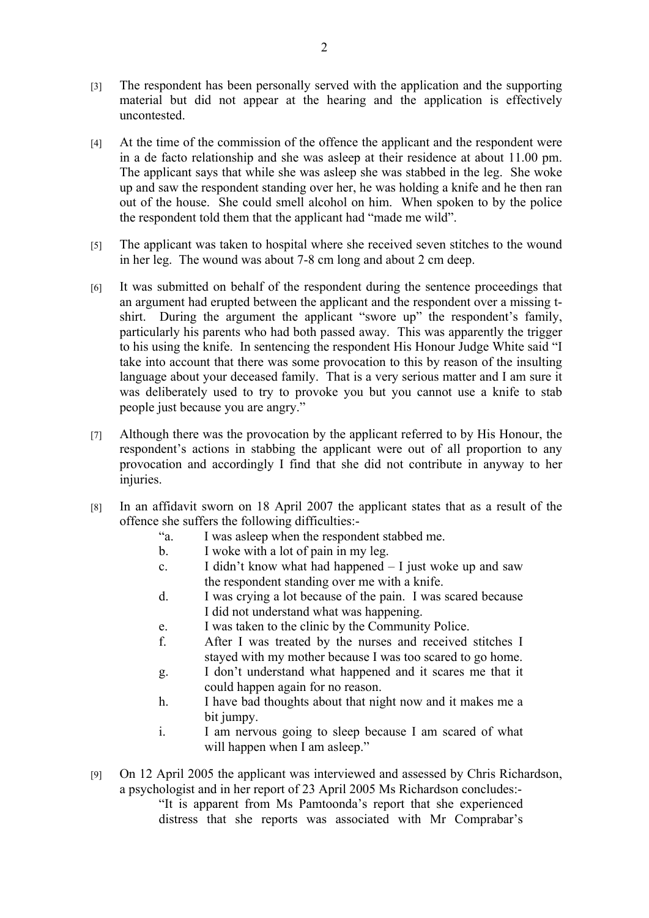- [3] The respondent has been personally served with the application and the supporting material but did not appear at the hearing and the application is effectively uncontested.
- [4] At the time of the commission of the offence the applicant and the respondent were in a de facto relationship and she was asleep at their residence at about 11.00 pm. The applicant says that while she was asleep she was stabbed in the leg. She woke up and saw the respondent standing over her, he was holding a knife and he then ran out of the house. She could smell alcohol on him. When spoken to by the police the respondent told them that the applicant had "made me wild".
- [5] The applicant was taken to hospital where she received seven stitches to the wound in her leg. The wound was about 7-8 cm long and about 2 cm deep.
- [6] It was submitted on behalf of the respondent during the sentence proceedings that an argument had erupted between the applicant and the respondent over a missing tshirt. During the argument the applicant "swore up" the respondent's family, particularly his parents who had both passed away. This was apparently the trigger to his using the knife. In sentencing the respondent His Honour Judge White said "I take into account that there was some provocation to this by reason of the insulting language about your deceased family. That is a very serious matter and I am sure it was deliberately used to try to provoke you but you cannot use a knife to stab people just because you are angry."
- [7] Although there was the provocation by the applicant referred to by His Honour, the respondent's actions in stabbing the applicant were out of all proportion to any provocation and accordingly I find that she did not contribute in anyway to her injuries.
- [8] In an affidavit sworn on 18 April 2007 the applicant states that as a result of the offence she suffers the following difficulties:-
	- "a. I was asleep when the respondent stabbed me.
	- b. I woke with a lot of pain in my leg.
	- c. I didn't know what had happened I just woke up and saw the respondent standing over me with a knife.
	- d. I was crying a lot because of the pain. I was scared because I did not understand what was happening.
	- e. I was taken to the clinic by the Community Police.
	- f. After I was treated by the nurses and received stitches I stayed with my mother because I was too scared to go home.
	- g. I don't understand what happened and it scares me that it could happen again for no reason.
	- h. I have bad thoughts about that night now and it makes me a bit jumpy.
	- i. I am nervous going to sleep because I am scared of what will happen when I am asleep."
- [9] On 12 April 2005 the applicant was interviewed and assessed by Chris Richardson, a psychologist and in her report of 23 April 2005 Ms Richardson concludes:- "It is apparent from Ms Pamtoonda's report that she experienced distress that she reports was associated with Mr Comprabar's